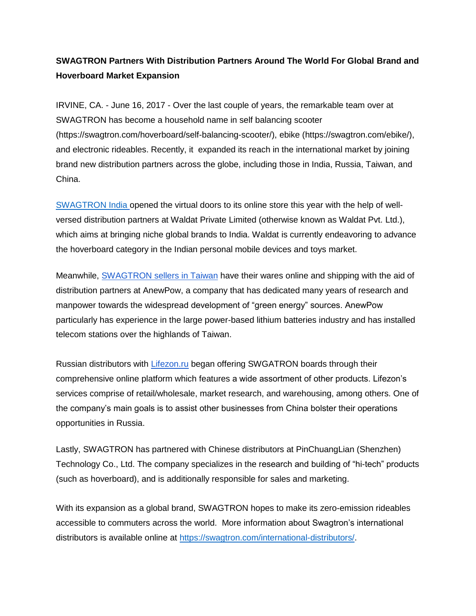## **SWAGTRON Partners With Distribution Partners Around The World For Global Brand and Hoverboard Market Expansion**

IRVINE, CA. - June 16, 2017 - Over the last couple of years, the remarkable team over at SWAGTRON has become a household name in self balancing scooter (https://swagtron.com/hoverboard/self-balancing-scooter/), ebike (https://swagtron.com/ebike/), and electronic rideables. Recently, it expanded its reach in the international market by joining brand new distribution partners across the globe, including those in India, Russia, Taiwan, and China.

[SWAGTRON India](https://swagtron.in/) opened the virtual doors to its online store this year with the help of wellversed distribution partners at Waldat Private Limited (otherwise known as Waldat Pvt. Ltd.), which aims at bringing niche global brands to India. Waldat is currently endeavoring to advance the hoverboard category in the Indian personal mobile devices and toys market.

Meanwhile, [SWAGTRON sellers in Taiwan](http://www.anewpow.com/tw/index.html) have their wares online and shipping with the aid of distribution partners at AnewPow, a company that has dedicated many years of research and manpower towards the widespread development of "green energy" sources. AnewPow particularly has experience in the large power-based lithium batteries industry and has installed telecom stations over the highlands of Taiwan.

Russian distributors with [Lifezon.ru](http://www.lifezon.ru/) began offering SWGATRON boards through their comprehensive online platform which features a wide assortment of other products. Lifezon's services comprise of retail/wholesale, market research, and warehousing, among others. One of the company's main goals is to assist other businesses from China bolster their operations opportunities in Russia.

Lastly, SWAGTRON has partnered with Chinese distributors at PinChuangLian (Shenzhen) Technology Co., Ltd. The company specializes in the research and building of "hi-tech" products (such as hoverboard), and is additionally responsible for sales and marketing.

With its expansion as a global brand, SWAGTRON hopes to make its zero-emission rideables accessible to commuters across the world. More information about Swagtron's international distributors is available online at [https://swagtron.com/international-distributors/.](https://swagtron.com/international-distributors/)